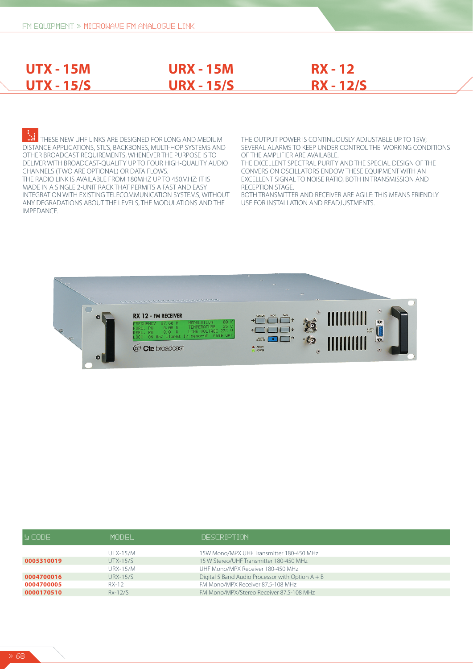**UTX - 15M**

**UTX - 15/S**

# **URX - 15M URX - 15/S**

# **RX - 12 RX - 12/S**

THESE NEW UHF LINKS ARE DESIGNED FOR LONG AND MEDIUM DISTANCE APPLICATIONS, STL'S, BACKBONES, MULTI-HOP SYSTEMS AND OTHER BROADCAST REQUIREMENTS, WHENEVER THE PURPOSE IS TO DELIVER WITH BROADCAST-QUALITY UP TO FOUR HIGH-QUALITY AUDIO CHANNELS (TWO ARE OPTIONAL) OR DATA FLOWS. THE RADIO LINK IS AVAILABLE FROM 180MHZ UP TO 450MHZ: IT IS MADE IN A SINGLE 2-UNIT RACK THAT PERMITS A FAST AND EASY INTEGRATION WITH EXISTING TELECOMMUNICATION SYSTEMS, WITHOUT ANY DEGRADATIONS ABOUT THE LEVELS, THE MODULATIONS AND THE IMPEDANCE.

THE OUTPUT POWER IS CONTINUOUSLY ADJUSTABLE UP TO 15W; SEVERAL ALARMS TO KEEP UNDER CONTROL THE WORKING CONDITIONS OF THE AMPLIFIER ARE AVAILABLE.

THE EXCELLENT SPECTRAL PURITY AND THE SPECIAL DESIGN OF THE CONVERSION OSCILLATORS ENDOW THESE EQUIPMENT WITH AN EXCELLENT SIGNAL TO NOISE RATIO, BOTH IN TRANSMISSION AND RECEPTION STAGE.

BOTH TRANSMITTER AND RECEIVER ARE AGILE: THIS MEANS FRIENDLY USE FOR INSTALLATION AND READJUSTMENTS.



| N CODE I   | MODEL.          | DESCRIPTION                                        |
|------------|-----------------|----------------------------------------------------|
|            | <b>UTX-15/M</b> | 15W Mono/MPX UHF Transmitter 180-450 MHz           |
| 0005310019 | <b>UTX-15/S</b> | 15 W Stereo/UHF Transmitter 180-450 MHz            |
|            | <b>URX-15/M</b> | UHF Mono/MPX Receiver 180-450 MHz                  |
| 0004700016 | <b>URX-15/S</b> | Digital 5 Band Audio Processor with Option $A + B$ |
| 0004700005 | RX-12           | FM Mono/MPX Receiver 87.5-108 MHz                  |
| 0000170510 | $Rx-12/S$       | FM Mono/MPX/Stereo Receiver 87.5-108 MHz           |